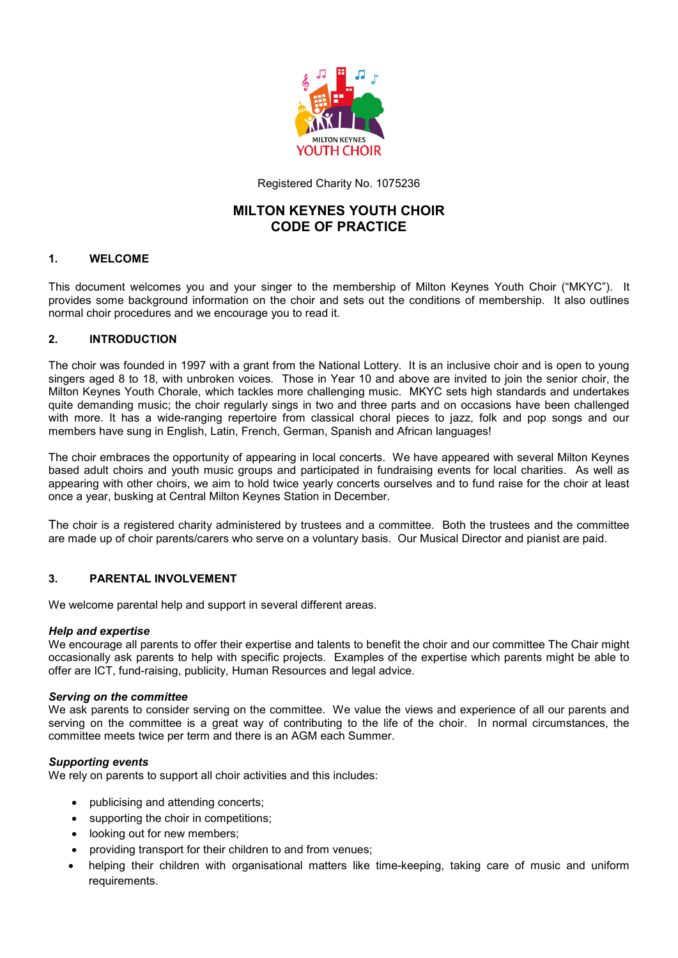

Registered Charity No. 1075236

# **MILTON KEYNES YOUTH CHOIR CODE OF PRACTICE**

# **1. WELCOME**

This document welcomes you and your singer to the membership of Milton Keynes Youth Choir ("MKYC"). It provides some background information on the choir and sets out the conditions of membership. It also outlines normal choir procedures and we encourage you to read it.

# **2. INTRODUCTION**

The choir was founded in 1997 with a grant from the National Lottery. It is an inclusive choir and is open to young singers aged 8 to 18, with unbroken voices*.* Those in Year 10 and above are invited to join the senior choir, the Milton Keynes Youth Chorale, which tackles more challenging music. MKYC sets high standards and undertakes quite demanding music; the choir regularly sings in two and three parts and on occasions have been challenged with more. It has a wide-ranging repertoire from classical choral pieces to jazz, folk and pop songs and our members have sung in English, Latin, French, German, Spanish and African languages!

The choir embraces the opportunity of appearing in local concerts. We have appeared with several Milton Keynes based adult choirs and youth music groups and participated in fundraising events for local charities. As well as appearing with other choirs, we aim to hold twice yearly concerts ourselves and to fund raise for the choir at least once a year, busking at Central Milton Keynes Station in December.

The choir is a registered charity administered by trustees and a committee. Both the trustees and the committee are made up of choir parents/carers who serve on a voluntary basis. Our Musical Director and pianist are paid.

# **3. PARENTAL INVOLVEMENT**

We welcome parental help and support in several different areas.

### *Help and expertise*

We encourage all parents to offer their expertise and talents to benefit the choir and our committee The Chair might occasionally ask parents to help with specific projects. Examples of the expertise which parents might be able to offer are ICT, fund-raising, publicity, Human Resources and legal advice.

### *Serving on the committee*

We ask parents to consider serving on the committee. We value the views and experience of all our parents and serving on the committee is a great way of contributing to the life of the choir. In normal circumstances, the committee meets twice per term and there is an AGM each Summer.

### *Supporting events*

We rely on parents to support all choir activities and this includes:

- publicising and attending concerts;
- supporting the choir in competitions;
- looking out for new members;
- providing transport for their children to and from venues;
- helping their children with organisational matters like time-keeping, taking care of music and uniform requirements.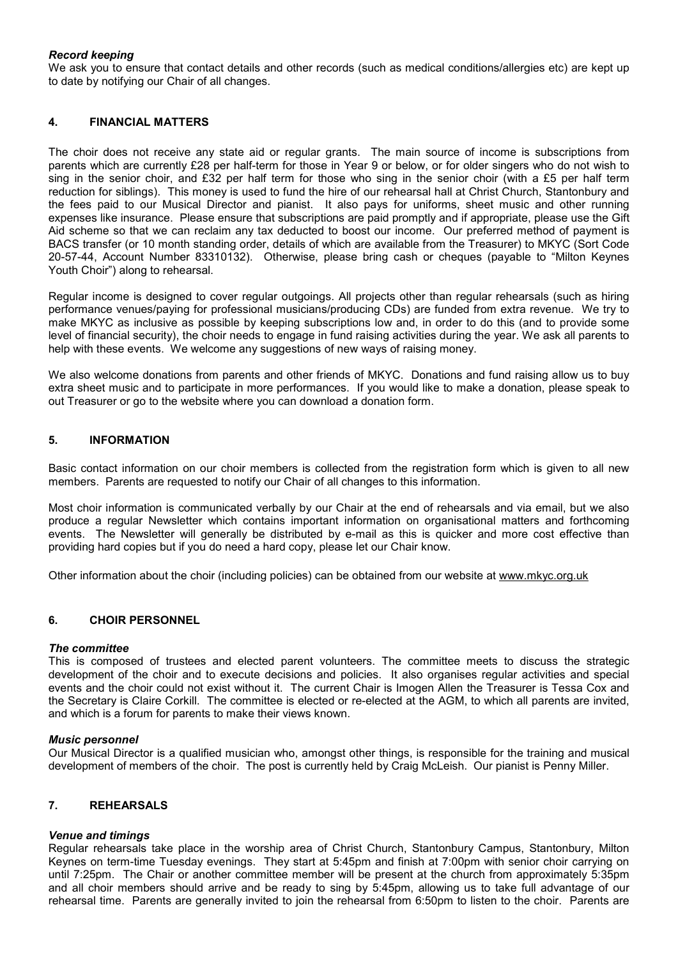# *Record keeping*

We ask you to ensure that contact details and other records (such as medical conditions/allergies etc) are kept up to date by notifying our Chair of all changes.

### **4. FINANCIAL MATTERS**

The choir does not receive any state aid or regular grants. The main source of income is subscriptions from parents which are currently £28 per half-term for those in Year 9 or below, or for older singers who do not wish to sing in the senior choir, and £32 per half term for those who sing in the senior choir (with a £5 per half term reduction for siblings). This money is used to fund the hire of our rehearsal hall at Christ Church, Stantonbury and the fees paid to our Musical Director and pianist. It also pays for uniforms, sheet music and other running expenses like insurance. Please ensure that subscriptions are paid promptly and if appropriate, please use the Gift Aid scheme so that we can reclaim any tax deducted to boost our income. Our preferred method of payment is BACS transfer (or 10 month standing order, details of which are available from the Treasurer) to MKYC (Sort Code 20-57-44, Account Number 83310132). Otherwise, please bring cash or cheques (payable to "Milton Keynes Youth Choir") along to rehearsal.

Regular income is designed to cover regular outgoings. All projects other than regular rehearsals (such as hiring performance venues/paying for professional musicians/producing CDs) are funded from extra revenue. We try to make MKYC as inclusive as possible by keeping subscriptions low and, in order to do this (and to provide some level of financial security), the choir needs to engage in fund raising activities during the year. We ask all parents to help with these events. We welcome any suggestions of new ways of raising money.

We also welcome donations from parents and other friends of MKYC. Donations and fund raising allow us to buy extra sheet music and to participate in more performances. If you would like to make a donation, please speak to out Treasurer or go to the website where you can download a donation form.

### **5. INFORMATION**

Basic contact information on our choir members is collected from the registration form which is given to all new members. Parents are requested to notify our Chair of all changes to this information.

Most choir information is communicated verbally by our Chair at the end of rehearsals and via email, but we also produce a regular Newsletter which contains important information on organisational matters and forthcoming events. The Newsletter will generally be distributed by e-mail as this is quicker and more cost effective than providing hard copies but if you do need a hard copy, please let our Chair know.

Other information about the choir (including policies) can be obtained from our website at www.mkyc.org.uk

# **6. CHOIR PERSONNEL**

### *The committee*

This is composed of trustees and elected parent volunteers. The committee meets to discuss the strategic development of the choir and to execute decisions and policies. It also organises regular activities and special events and the choir could not exist without it. The current Chair is Imogen Allen the Treasurer is Tessa Cox and the Secretary is Claire Corkill. The committee is elected or re-elected at the AGM, to which all parents are invited, and which is a forum for parents to make their views known.

### *Music personnel*

Our Musical Director is a qualified musician who, amongst other things, is responsible for the training and musical development of members of the choir. The post is currently held by Craig McLeish. Our pianist is Penny Miller.

### **7. REHEARSALS**

### *Venue and timings*

Regular rehearsals take place in the worship area of Christ Church, Stantonbury Campus, Stantonbury, Milton Keynes on term-time Tuesday evenings. They start at 5:45pm and finish at 7:00pm with senior choir carrying on until 7:25pm. The Chair or another committee member will be present at the church from approximately 5:35pm and all choir members should arrive and be ready to sing by 5:45pm, allowing us to take full advantage of our rehearsal time. Parents are generally invited to join the rehearsal from 6:50pm to listen to the choir. Parents are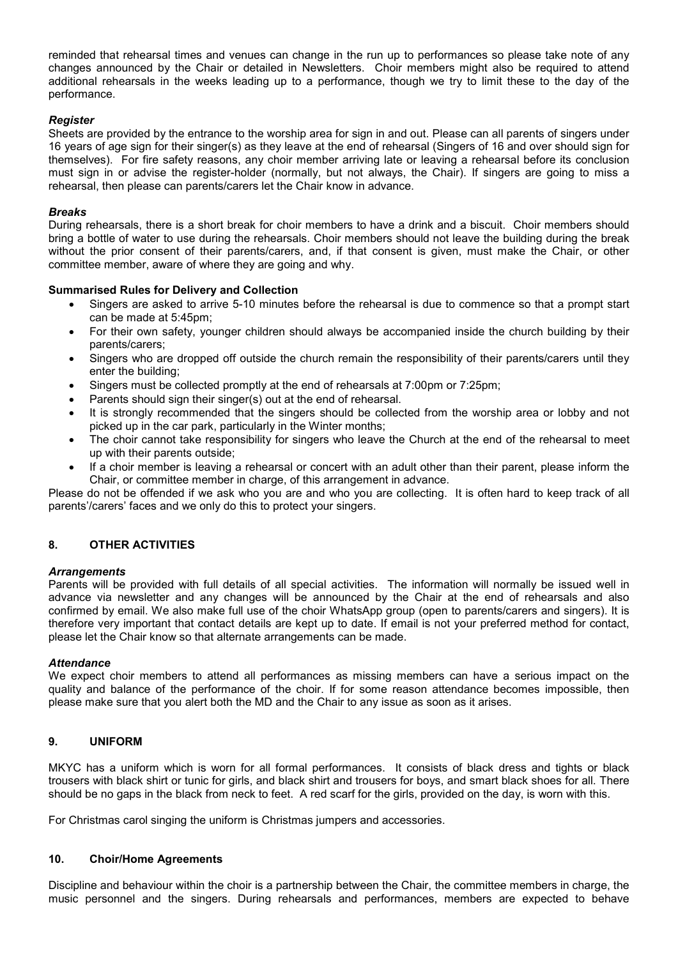reminded that rehearsal times and venues can change in the run up to performances so please take note of any changes announced by the Chair or detailed in Newsletters. Choir members might also be required to attend additional rehearsals in the weeks leading up to a performance, though we try to limit these to the day of the performance.

# *Register*

Sheets are provided by the entrance to the worship area for sign in and out. Please can all parents of singers under 16 years of age sign for their singer(s) as they leave at the end of rehearsal (Singers of 16 and over should sign for themselves). For fire safety reasons, any choir member arriving late or leaving a rehearsal before its conclusion must sign in or advise the register-holder (normally, but not always, the Chair). If singers are going to miss a rehearsal, then please can parents/carers let the Chair know in advance.

### *Breaks*

During rehearsals, there is a short break for choir members to have a drink and a biscuit. Choir members should bring a bottle of water to use during the rehearsals. Choir members should not leave the building during the break without the prior consent of their parents/carers, and, if that consent is given, must make the Chair, or other committee member, aware of where they are going and why.

### **Summarised Rules for Delivery and Collection**

- Singers are asked to arrive 5-10 minutes before the rehearsal is due to commence so that a prompt start can be made at 5:45pm;
- For their own safety, younger children should always be accompanied inside the church building by their parents/carers;
- Singers who are dropped off outside the church remain the responsibility of their parents/carers until they enter the building;
- Singers must be collected promptly at the end of rehearsals at 7:00pm or 7:25pm;
- Parents should sign their singer(s) out at the end of rehearsal.
- It is strongly recommended that the singers should be collected from the worship area or lobby and not picked up in the car park, particularly in the Winter months;
- The choir cannot take responsibility for singers who leave the Church at the end of the rehearsal to meet up with their parents outside;
- If a choir member is leaving a rehearsal or concert with an adult other than their parent, please inform the Chair, or committee member in charge, of this arrangement in advance.

Please do not be offended if we ask who you are and who you are collecting. It is often hard to keep track of all parents'/carers' faces and we only do this to protect your singers.

# **8. OTHER ACTIVITIES**

### *Arrangements*

Parents will be provided with full details of all special activities. The information will normally be issued well in advance via newsletter and any changes will be announced by the Chair at the end of rehearsals and also confirmed by email. We also make full use of the choir WhatsApp group (open to parents/carers and singers). It is therefore very important that contact details are kept up to date. If email is not your preferred method for contact, please let the Chair know so that alternate arrangements can be made.

### *Attendance*

We expect choir members to attend all performances as missing members can have a serious impact on the quality and balance of the performance of the choir. If for some reason attendance becomes impossible, then please make sure that you alert both the MD and the Chair to any issue as soon as it arises.

### **9. UNIFORM**

MKYC has a uniform which is worn for all formal performances. It consists of black dress and tights or black trousers with black shirt or tunic for girls, and black shirt and trousers for boys, and smart black shoes for all. There should be no gaps in the black from neck to feet. A red scarf for the girls, provided on the day, is worn with this.

For Christmas carol singing the uniform is Christmas jumpers and accessories.

### **10. Choir/Home Agreements**

Discipline and behaviour within the choir is a partnership between the Chair, the committee members in charge, the music personnel and the singers. During rehearsals and performances, members are expected to behave